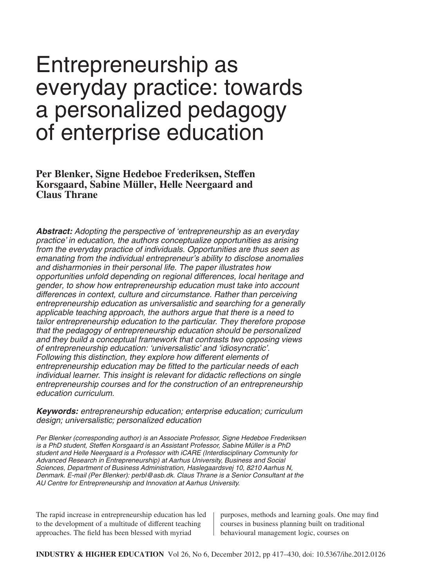# Entrepreneurship as everyday practice: towards a personalized pedagogy of enterprise education

# **Per Blenker, Signe Hedeboe Frederiksen, Steffen Korsgaard, Sabine Müller, Helle Neergaard and Claus Thrane**

*Abstract: Adopting the perspective of 'entrepreneurship as an everyday practice' in education, the authors conceptualize opportunities as arising from the everyday practice of individuals. Opportunities are thus seen as emanating from the individual entrepreneur's ability to disclose anomalies and disharmonies in their personal life. The paper illustrates how opportunities unfold depending on regional differences, local heritage and gender, to show how entrepreneurship education must take into account differences in context, culture and circumstance. Rather than perceiving entrepreneurship education as universalistic and searching for a generally applicable teaching approach, the authors argue that there is a need to tailor entrepreneurship education to the particular. They therefore propose that the pedagogy of entrepreneurship education should be personalized and they build a conceptual framework that contrasts two opposing views of entrepreneurship education: 'universalistic' and 'idiosyncratic'. Following this distinction, they explore how different elements of entrepreneurship education may be fitted to the particular needs of each individual learner. This insight is relevant for didactic reflections on single entrepreneurship courses and for the construction of an entrepreneurship education curriculum.*

*Keywords: entrepreneurship education; enterprise education; curriculum design; universalistic; personalized education*

*Per Blenker (corresponding author) is an Associate Professor, Signe Hedeboe Frederiksen is a PhD student, Steffen Korsgaard is an Assistant Professor, Sabine Müller is a PhD student and Helle Neergaard is a Professor with iCARE (Interdisciplinary Community for Advanced Research in Entrepreneurship) at Aarhus University, Business and Social Sciences, Department of Business Administration, Haslegaardsvej 10, 8210 Aarhus N, Denmark. E-mail (Per Blenker): perbl@asb.dk. Claus Thrane is a Senior Consultant at the AU Centre for Entrepreneurship and Innovation at Aarhus University.*

The rapid increase in entrepreneurship education has led to the development of a multitude of different teaching approaches. The field has been blessed with myriad

purposes, methods and learning goals. One may find courses in business planning built on traditional behavioural management logic, courses on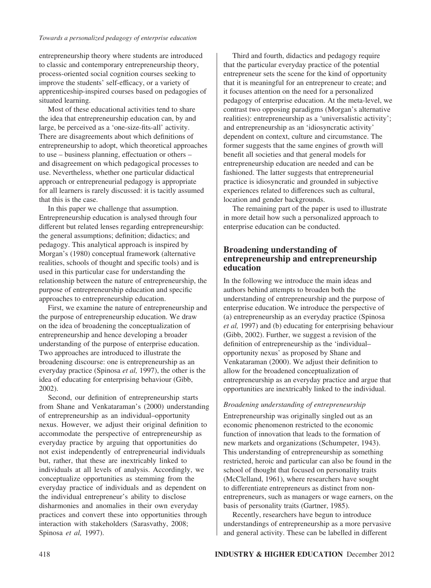#### *Towards a personalized pedagogy of enterprise education*

entrepreneurship theory where students are introduced to classic and contemporary entrepreneurship theory, process-oriented social cognition courses seeking to improve the students' self-efficacy, or a variety of apprenticeship-inspired courses based on pedagogies of situated learning.

Most of these educational activities tend to share the idea that entrepreneurship education can, by and large, be perceived as a 'one-size-fits-all' activity. There are disagreements about which definitions of entrepreneurship to adopt, which theoretical approaches to use – business planning, effectuation or others – and disagreement on which pedagogical processes to use. Nevertheless, whether one particular didactical approach or entrepreneurial pedagogy is appropriate for all learners is rarely discussed: it is tacitly assumed that this is the case.

In this paper we challenge that assumption. Entrepreneurship education is analysed through four different but related lenses regarding entrepreneurship: the general assumptions; definition; didactics; and pedagogy. This analytical approach is inspired by Morgan's (1980) conceptual framework (alternative realities, schools of thought and specific tools) and is used in this particular case for understanding the relationship between the nature of entrepreneurship, the purpose of entrepreneurship education and specific approaches to entrepreneurship education.

First, we examine the nature of entrepreneurship and the purpose of entrepreneurship education. We draw on the idea of broadening the conceptualization of entrepreneurship and hence developing a broader understanding of the purpose of enterprise education. Two approaches are introduced to illustrate the broadening discourse: one is entrepreneurship as an everyday practice (Spinosa *et al,* 1997), the other is the idea of educating for enterprising behaviour (Gibb, 2002).

Second, our definition of entrepreneurship starts from Shane and Venkataraman's (2000) understanding of entrepreneurship as an individual–opportunity nexus. However, we adjust their original definition to accommodate the perspective of entrepreneurship as everyday practice by arguing that opportunities do not exist independently of entrepreneurial individuals but, rather, that these are inextricably linked to individuals at all levels of analysis. Accordingly, we conceptualize opportunities as stemming from the everyday practice of individuals and as dependent on the individual entrepreneur's ability to disclose disharmonies and anomalies in their own everyday practices and convert these into opportunities through interaction with stakeholders (Sarasvathy, 2008; Spinosa *et al,* 1997).

Third and fourth, didactics and pedagogy require that the particular everyday practice of the potential entrepreneur sets the scene for the kind of opportunity that it is meaningful for an entrepreneur to create; and it focuses attention on the need for a personalized pedagogy of enterprise education. At the meta-level, we contrast two opposing paradigms (Morgan's alternative realities): entrepreneurship as a 'universalistic activity'; and entrepreneurship as an 'idiosyncratic activity' dependent on context, culture and circumstance. The former suggests that the same engines of growth will benefit all societies and that general models for entrepreneurship education are needed and can be fashioned. The latter suggests that entrepreneurial practice is idiosyncratic and grounded in subjective experiences related to differences such as cultural, location and gender backgrounds.

The remaining part of the paper is used to illustrate in more detail how such a personalized approach to enterprise education can be conducted.

## **Broadening understanding of entrepreneurship and entrepreneurship education**

In the following we introduce the main ideas and authors behind attempts to broaden both the understanding of entrepreneurship and the purpose of enterprise education. We introduce the perspective of (a) entrepreneurship as an everyday practice (Spinosa *et al,* 1997) and (b) educating for enterprising behaviour (Gibb, 2002). Further, we suggest a revision of the definition of entrepreneurship as the 'individual– opportunity nexus' as proposed by Shane and Venkataraman (2000). We adjust their definition to allow for the broadened conceptualization of entrepreneurship as an everyday practice and argue that opportunities are inextricably linked to the individual.

## *Broadening understanding of entrepreneurship*

Entrepreneurship was originally singled out as an economic phenomenon restricted to the economic function of innovation that leads to the formation of new markets and organizations (Schumpeter, 1943). This understanding of entrepreneurship as something restricted, heroic and particular can also be found in the school of thought that focused on personality traits (McClelland, 1961), where researchers have sought to differentiate entrepreneurs as distinct from nonentrepreneurs, such as managers or wage earners, on the basis of personality traits (Gartner, 1985).

Recently, researchers have begun to introduce understandings of entrepreneurship as a more pervasive and general activity. These can be labelled in different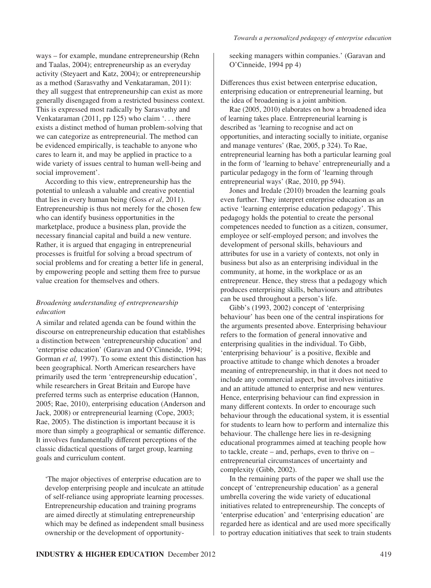ways – for example, mundane entrepreneurship (Rehn and Taalas, 2004); entrepreneurship as an everyday activity (Steyaert and Katz, 2004); or entrepreneurship as a method (Sarasvathy and Venkataraman, 2011): they all suggest that entrepreneurship can exist as more generally disengaged from a restricted business context. This is expressed most radically by Sarasvathy and Venkataraman (2011, pp 125) who claim '. . . there exists a distinct method of human problem-solving that we can categorize as entrepreneurial. The method can be evidenced empirically, is teachable to anyone who cares to learn it, and may be applied in practice to a wide variety of issues central to human well-being and social improvement'.

According to this view, entrepreneurship has the potential to unleash a valuable and creative potential that lies in every human being (Goss *et al*, 2011). Entrepreneurship is thus not merely for the chosen few who can identify business opportunities in the marketplace, produce a business plan, provide the necessary financial capital and build a new venture. Rather, it is argued that engaging in entrepreneurial processes is fruitful for solving a broad spectrum of social problems and for creating a better life in general, by empowering people and setting them free to pursue value creation for themselves and others.

## *Broadening understanding of entrepreneurship education*

A similar and related agenda can be found within the discourse on entrepreneurship education that establishes a distinction between 'entrepreneurship education' and 'enterprise education' (Garavan and O'Cinneide, 1994; Gorman *et al,* 1997). To some extent this distinction has been geographical. North American researchers have primarily used the term 'entrepreneurship education', while researchers in Great Britain and Europe have preferred terms such as enterprise education (Hannon, 2005; Rae, 2010), enterprising education (Anderson and Jack, 2008) or entrepreneurial learning (Cope, 2003; Rae, 2005). The distinction is important because it is more than simply a geographical or semantic difference. It involves fundamentally different perceptions of the classic didactical questions of target group, learning goals and curriculum content.

'The major objectives of enterprise education are to develop enterprising people and inculcate an attitude of self-reliance using appropriate learning processes. Entrepreneurship education and training programs are aimed directly at stimulating entrepreneurship which may be defined as independent small business ownership or the development of opportunityseeking managers within companies.' (Garavan and O'Cinneide, 1994 pp 4)

Differences thus exist between enterprise education, enterprising education or entrepreneurial learning, but the idea of broadening is a joint ambition.

Rae (2005, 2010) elaborates on how a broadened idea of learning takes place. Entrepreneurial learning is described as 'learning to recognise and act on opportunities, and interacting socially to initiate, organise and manage ventures' (Rae, 2005, p 324). To Rae, entrepreneurial learning has both a particular learning goal in the form of 'learning to behave' entrepreneurially and a particular pedagogy in the form of 'learning through entrepreneurial ways' (Rae, 2010, pp 594).

Jones and Iredale (2010) broaden the learning goals even further. They interpret enterprise education as an active 'learning enterprise education pedagogy'. This pedagogy holds the potential to create the personal competences needed to function as a citizen, consumer, employee or self-employed person; and involves the development of personal skills, behaviours and attributes for use in a variety of contexts, not only in business but also as an enterprising individual in the community, at home, in the workplace or as an entrepreneur. Hence, they stress that a pedagogy which produces enterprising skills, behaviours and attributes can be used throughout a person's life.

Gibb's (1993, 2002) concept of 'enterprising behaviour' has been one of the central inspirations for the arguments presented above. Enterprising behaviour refers to the formation of general innovative and enterprising qualities in the individual. To Gibb, 'enterprising behaviour' is a positive, flexible and proactive attitude to change which denotes a broader meaning of entrepreneurship, in that it does not need to include any commercial aspect, but involves initiative and an attitude attuned to enterprise and new ventures. Hence, enterprising behaviour can find expression in many different contexts. In order to encourage such behaviour through the educational system, it is essential for students to learn how to perform and internalize this behaviour. The challenge here lies in re-designing educational programmes aimed at teaching people how to tackle, create – and, perhaps, even to thrive on – entrepreneurial circumstances of uncertainty and complexity (Gibb, 2002).

In the remaining parts of the paper we shall use the concept of 'entrepreneurship education' as a general umbrella covering the wide variety of educational initiatives related to entrepreneurship. The concepts of 'enterprise education' and 'enterprising education' are regarded here as identical and are used more specifically to portray education initiatives that seek to train students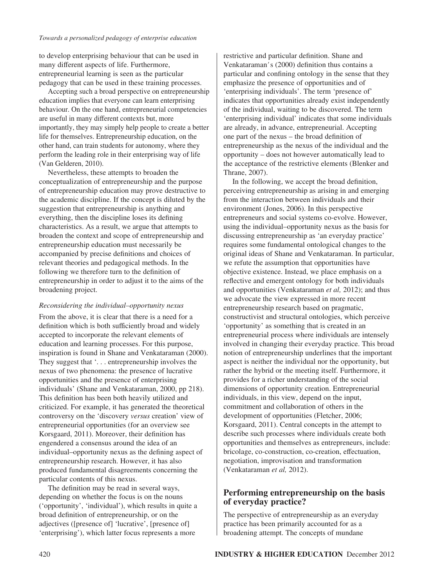#### *Towards a personalized pedagogy of enterprise education*

to develop enterprising behaviour that can be used in many different aspects of life. Furthermore, entrepreneurial learning is seen as the particular pedagogy that can be used in these training processes.

Accepting such a broad perspective on entrepreneurship education implies that everyone can learn enterprising behaviour. On the one hand, entrepreneurial competencies are useful in many different contexts but, more importantly, they may simply help people to create a better life for themselves. Entrepreneurship education, on the other hand, can train students for autonomy, where they perform the leading role in their enterprising way of life (Van Gelderen, 2010).

Nevertheless, these attempts to broaden the conceptualization of entrepreneurship and the purpose of entrepreneurship education may prove destructive to the academic discipline. If the concept is diluted by the suggestion that entrepreneurship is anything and everything, then the discipline loses its defining characteristics. As a result, we argue that attempts to broaden the context and scope of entrepreneurship and entrepreneurship education must necessarily be accompanied by precise definitions and choices of relevant theories and pedagogical methods. In the following we therefore turn to the definition of entrepreneurship in order to adjust it to the aims of the broadening project.

## *Reconsidering the individual–opportunity nexus*

From the above, it is clear that there is a need for a definition which is both sufficiently broad and widely accepted to incorporate the relevant elements of education and learning processes. For this purpose, inspiration is found in Shane and Venkataraman (2000). They suggest that '. . . entrepreneurship involves the nexus of two phenomena: the presence of lucrative opportunities and the presence of enterprising individuals' (Shane and Venkataraman, 2000, pp 218). This definition has been both heavily utilized and criticized. For example, it has generated the theoretical controversy on the 'discovery *versus* creation' view of entrepreneurial opportunities (for an overview see Korsgaard, 2011). Moreover, their definition has engendered a consensus around the idea of an individual–opportunity nexus as the defining aspect of entrepreneurship research. However, it has also produced fundamental disagreements concerning the particular contents of this nexus.

The definition may be read in several ways, depending on whether the focus is on the nouns ('opportunity', 'individual'), which results in quite a broad definition of entrepreneurship, or on the adjectives ([presence of] 'lucrative', [presence of] 'enterprising'), which latter focus represents a more

restrictive and particular definition. Shane and Venkataraman's (2000) definition thus contains a particular and confining ontology in the sense that they emphasize the presence of opportunities and of 'enterprising individuals'. The term 'presence of' indicates that opportunities already exist independently of the individual, waiting to be discovered. The term 'enterprising individual' indicates that some individuals are already, in advance, entrepreneurial. Accepting one part of the nexus – the broad definition of entrepreneurship as the nexus of the individual and the opportunity – does not however automatically lead to the acceptance of the restrictive elements (Blenker and Thrane, 2007).

In the following, we accept the broad definition, perceiving entrepreneurship as arising in and emerging from the interaction between individuals and their environment (Jones, 2006). In this perspective entrepreneurs and social systems co-evolve. However, using the individual–opportunity nexus as the basis for discussing entrepreneurship as 'an everyday practice' requires some fundamental ontological changes to the original ideas of Shane and Venkataraman. In particular, we refute the assumption that opportunities have objective existence. Instead, we place emphasis on a reflective and emergent ontology for both individuals and opportunities (Venkataraman *et al,* 2012); and thus we advocate the view expressed in more recent entrepreneurship research based on pragmatic, constructivist and structural ontologies, which perceive 'opportunity' as something that is created in an entrepreneurial process where individuals are intensely involved in changing their everyday practice. This broad notion of entrepreneurship underlines that the important aspect is neither the individual nor the opportunity, but rather the hybrid or the meeting itself. Furthermore, it provides for a richer understanding of the social dimensions of opportunity creation. Entrepreneurial individuals, in this view, depend on the input, commitment and collaboration of others in the development of opportunities (Fletcher, 2006; Korsgaard, 2011). Central concepts in the attempt to describe such processes where individuals create both opportunities and themselves as entrepreneurs, include: bricolage, co-construction, co-creation, effectuation, negotiation, improvisation and transformation (Venkataraman *et al,* 2012).

# **Performing entrepreneurship on the basis of everyday practice?**

The perspective of entrepreneurship as an everyday practice has been primarily accounted for as a broadening attempt. The concepts of mundane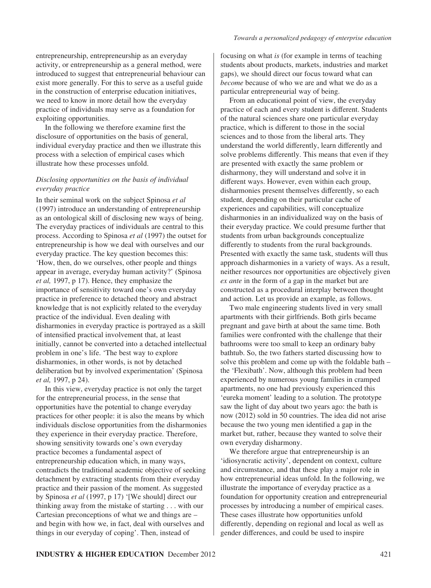entrepreneurship, entrepreneurship as an everyday activity, or entrepreneurship as a general method, were introduced to suggest that entrepreneurial behaviour can exist more generally. For this to serve as a useful guide in the construction of enterprise education initiatives, we need to know in more detail how the everyday practice of individuals may serve as a foundation for exploiting opportunities.

In the following we therefore examine first the disclosure of opportunities on the basis of general, individual everyday practice and then we illustrate this process with a selection of empirical cases which illustrate how these processes unfold.

## *Disclosing opportunities on the basis of individual everyday practice*

In their seminal work on the subject Spinosa *et al* (1997) introduce an understanding of entrepreneurship as an ontological skill of disclosing new ways of being. The everyday practices of individuals are central to this process. According to Spinosa *et al* (1997) the outset for entrepreneurship is how we deal with ourselves and our everyday practice. The key question becomes this: 'How, then, do we ourselves, other people and things appear in average, everyday human activity?' (Spinosa *et al,* 1997, p 17). Hence, they emphasize the importance of sensitivity toward one's own everyday practice in preference to detached theory and abstract knowledge that is not explicitly related to the everyday practice of the individual. Even dealing with disharmonies in everyday practice is portrayed as a skill of intensified practical involvement that, at least initially, cannot be converted into a detached intellectual problem in one's life. 'The best way to explore disharmonies, in other words, is not by detached deliberation but by involved experimentation' (Spinosa *et al,* 1997, p 24).

In this view, everyday practice is not only the target for the entrepreneurial process, in the sense that opportunities have the potential to change everyday practices for other people: it is also the means by which individuals disclose opportunities from the disharmonies they experience in their everyday practice. Therefore, showing sensitivity towards one's own everyday practice becomes a fundamental aspect of entrepreneurship education which, in many ways, contradicts the traditional academic objective of seeking detachment by extracting students from their everyday practice and their passion of the moment. As suggested by Spinosa *et al* (1997, p 17) '[We should] direct our thinking away from the mistake of starting . . . with our Cartesian preconceptions of what we and things are – and begin with how we, in fact, deal with ourselves and things in our everyday of coping'. Then, instead of

focusing on what *is* (for example in terms of teaching students about products, markets, industries and market gaps), we should direct our focus toward what can *become* because of who we are and what we do as a particular entrepreneurial way of being.

From an educational point of view, the everyday practice of each and every student is different. Students of the natural sciences share one particular everyday practice, which is different to those in the social sciences and to those from the liberal arts. They understand the world differently, learn differently and solve problems differently. This means that even if they are presented with exactly the same problem or disharmony, they will understand and solve it in different ways. However, even within each group, disharmonies present themselves differently, so each student, depending on their particular cache of experiences and capabilities, will conceptualize disharmonies in an individualized way on the basis of their everyday practice. We could presume further that students from urban backgrounds conceptualize differently to students from the rural backgrounds. Presented with exactly the same task, students will thus approach disharmonies in a variety of ways. As a result, neither resources nor opportunities are objectively given *ex ante* in the form of a gap in the market but are constructed as a procedural interplay between thought and action. Let us provide an example, as follows.

Two male engineering students lived in very small apartments with their girlfriends. Both girls became pregnant and gave birth at about the same time. Both families were confronted with the challenge that their bathrooms were too small to keep an ordinary baby bathtub. So, the two fathers started discussing how to solve this problem and come up with the foldable bath – the 'Flexibath'. Now, although this problem had been experienced by numerous young families in cramped apartments, no one had previously experienced this 'eureka moment' leading to a solution. The prototype saw the light of day about two years ago: the bath is now (2012) sold in 50 countries. The idea did not arise because the two young men identified a gap in the market but, rather, because they wanted to solve their own everyday disharmony.

We therefore argue that entrepreneurship is an 'idiosyncratic activity', dependent on context, culture and circumstance, and that these play a major role in how entrepreneurial ideas unfold. In the following, we illustrate the importance of everyday practice as a foundation for opportunity creation and entrepreneurial processes by introducing a number of empirical cases. These cases illustrate how opportunities unfold differently, depending on regional and local as well as gender differences, and could be used to inspire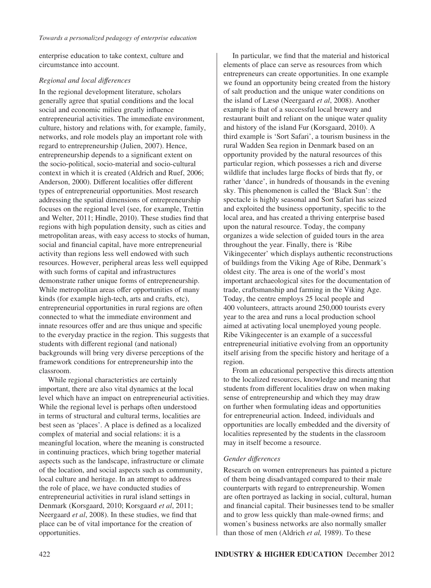enterprise education to take context, culture and circumstance into account.

## *Regional and local differences*

In the regional development literature, scholars generally agree that spatial conditions and the local social and economic milieu greatly influence entrepreneurial activities. The immediate environment, culture, history and relations with, for example, family, networks, and role models play an important role with regard to entrepreneurship (Julien, 2007). Hence, entrepreneurship depends to a significant extent on the socio-political, socio-material and socio-cultural context in which it is created (Aldrich and Ruef, 2006; Anderson, 2000). Different localities offer different types of entrepreneurial opportunities. Most research addressing the spatial dimensions of entrepreneurship focuses on the regional level (see, for example, Trettin and Welter, 2011; Hindle, 2010). These studies find that regions with high population density, such as cities and metropolitan areas, with easy access to stocks of human, social and financial capital, have more entrepreneurial activity than regions less well endowed with such resources. However, peripheral areas less well equipped with such forms of capital and infrastructures demonstrate rather unique forms of entrepreneurship. While metropolitan areas offer opportunities of many kinds (for example high-tech, arts and crafts, etc), entrepreneurial opportunities in rural regions are often connected to what the immediate environment and innate resources offer and are thus unique and specific to the everyday practice in the region. This suggests that students with different regional (and national) backgrounds will bring very diverse perceptions of the framework conditions for entrepreneurship into the classroom.

While regional characteristics are certainly important, there are also vital dynamics at the local level which have an impact on entrepreneurial activities. While the regional level is perhaps often understood in terms of structural and cultural terms, localities are best seen as 'places'. A place is defined as a localized complex of material and social relations: it is a meaningful location, where the meaning is constructed in continuing practices, which bring together material aspects such as the landscape, infrastructure or climate of the location, and social aspects such as community, local culture and heritage. In an attempt to address the role of place, we have conducted studies of entrepreneurial activities in rural island settings in Denmark (Korsgaard, 2010; Korsgaard *et al*, 2011; Neergaard *et al*, 2008). In these studies, we find that place can be of vital importance for the creation of opportunities.

In particular, we find that the material and historical elements of place can serve as resources from which entrepreneurs can create opportunities. In one example we found an opportunity being created from the history of salt production and the unique water conditions on the island of Læsø (Neergaard *et al*, 2008). Another example is that of a successful local brewery and restaurant built and reliant on the unique water quality and history of the island Fur (Korsgaard, 2010). A third example is 'Sort Safari', a tourism business in the rural Wadden Sea region in Denmark based on an opportunity provided by the natural resources of this particular region, which possesses a rich and diverse wildlife that includes large flocks of birds that fly, or rather 'dance', in hundreds of thousands in the evening sky. This phenomenon is called the 'Black Sun': the spectacle is highly seasonal and Sort Safari has seized and exploited the business opportunity, specific to the local area, and has created a thriving enterprise based upon the natural resource. Today, the company organizes a wide selection of guided tours in the area throughout the year. Finally, there is 'Ribe Vikingecenter' which displays authentic reconstructions of buildings from the Viking Age of Ribe, Denmark's oldest city. The area is one of the world's most important archaeological sites for the documentation of trade, craftsmanship and farming in the Viking Age. Today, the centre employs 25 local people and 400 volunteers, attracts around 250,000 tourists every year to the area and runs a local production school aimed at activating local unemployed young people. Ribe Vikingecenter is an example of a successful entrepreneurial initiative evolving from an opportunity itself arising from the specific history and heritage of a region.

From an educational perspective this directs attention to the localized resources, knowledge and meaning that students from different localities draw on when making sense of entrepreneurship and which they may draw on further when formulating ideas and opportunities for entrepreneurial action. Indeed, individuals and opportunities are locally embedded and the diversity of localities represented by the students in the classroom may in itself become a resource.

## *Gender differences*

Research on women entrepreneurs has painted a picture of them being disadvantaged compared to their male counterparts with regard to entrepreneurship. Women are often portrayed as lacking in social, cultural, human and financial capital. Their businesses tend to be smaller and to grow less quickly than male-owned firms; and women's business networks are also normally smaller than those of men (Aldrich *et al,* 1989). To these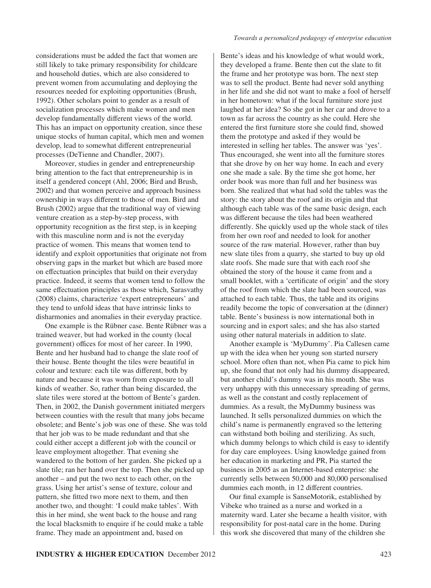considerations must be added the fact that women are still likely to take primary responsibility for childcare and household duties, which are also considered to prevent women from accumulating and deploying the resources needed for exploiting opportunities (Brush, 1992). Other scholars point to gender as a result of socialization processes which make women and men develop fundamentally different views of the world. This has an impact on opportunity creation, since these unique stocks of human capital, which men and women develop, lead to somewhat different entrepreneurial processes (DeTienne and Chandler, 2007).

Moreover, studies in gender and entrepreneurship bring attention to the fact that entrepreneurship is in itself a gendered concept (Ahl, 2006; Bird and Brush, 2002) and that women perceive and approach business ownership in ways different to those of men. Bird and Brush (2002) argue that the traditional way of viewing venture creation as a step-by-step process, with opportunity recognition as the first step, is in keeping with this masculine norm and is not the everyday practice of women. This means that women tend to identify and exploit opportunities that originate not from observing gaps in the market but which are based more on effectuation principles that build on their everyday practice. Indeed, it seems that women tend to follow the same effectuation principles as those which, Sarasvathy (2008) claims, characterize 'expert entrepreneurs' and they tend to unfold ideas that have intrinsic links to disharmonies and anomalies in their everyday practice.

One example is the Rübner case. Bente Rübner was a trained weaver, but had worked in the county (local government) offices for most of her career. In 1990, Bente and her husband had to change the slate roof of their house. Bente thought the tiles were beautiful in colour and texture: each tile was different, both by nature and because it was worn from exposure to all kinds of weather. So, rather than being discarded, the slate tiles were stored at the bottom of Bente's garden. Then, in 2002, the Danish government initiated mergers between counties with the result that many jobs became obsolete; and Bente's job was one of these. She was told that her job was to be made redundant and that she could either accept a different job with the council or leave employment altogether. That evening she wandered to the bottom of her garden. She picked up a slate tile; ran her hand over the top. Then she picked up another – and put the two next to each other, on the grass. Using her artist's sense of texture, colour and pattern, she fitted two more next to them, and then another two, and thought: 'I could make tables'. With this in her mind, she went back to the house and rang the local blacksmith to enquire if he could make a table frame. They made an appointment and, based on

#### *Towards a personalized pedagogy of enterprise education*

Bente's ideas and his knowledge of what would work, they developed a frame. Bente then cut the slate to fit the frame and her prototype was born. The next step was to sell the product. Bente had never sold anything in her life and she did not want to make a fool of herself in her hometown: what if the local furniture store just laughed at her idea? So she got in her car and drove to a town as far across the country as she could. Here she entered the first furniture store she could find, showed them the prototype and asked if they would be interested in selling her tables. The answer was 'yes'. Thus encouraged, she went into all the furniture stores that she drove by on her way home. In each and every one she made a sale. By the time she got home, her order book was more than full and her business was born. She realized that what had sold the tables was the story: the story about the roof and its origin and that although each table was of the same basic design, each was different because the tiles had been weathered differently. She quickly used up the whole stack of tiles from her own roof and needed to look for another source of the raw material. However, rather than buy new slate tiles from a quarry, she started to buy up old slate roofs. She made sure that with each roof she obtained the story of the house it came from and a small booklet, with a 'certificate of origin' and the story of the roof from which the slate had been sourced, was attached to each table. Thus, the table and its origins readily become the topic of conversation at the (dinner) table. Bente's business is now international both in sourcing and in export sales; and she has also started using other natural materials in addition to slate.

Another example is 'MyDummy'. Pia Callesen came up with the idea when her young son started nursery school. More often than not, when Pia came to pick him up, she found that not only had his dummy disappeared, but another child's dummy was in his mouth. She was very unhappy with this unnecessary spreading of germs, as well as the constant and costly replacement of dummies. As a result, the MyDummy business was launched. It sells personalized dummies on which the child's name is permanently engraved so the lettering can withstand both boiling and sterilizing. As such, which dummy belongs to which child is easy to identify for day care employees. Using knowledge gained from her education in marketing and PR, Pia started the business in 2005 as an Internet-based enterprise: she currently sells between 50,000 and 80,000 personalised dummies each month, in 12 different countries.

Our final example is SanseMotorik, established by Vibeke who trained as a nurse and worked in a maternity ward. Later she became a health visitor, with responsibility for post-natal care in the home. During this work she discovered that many of the children she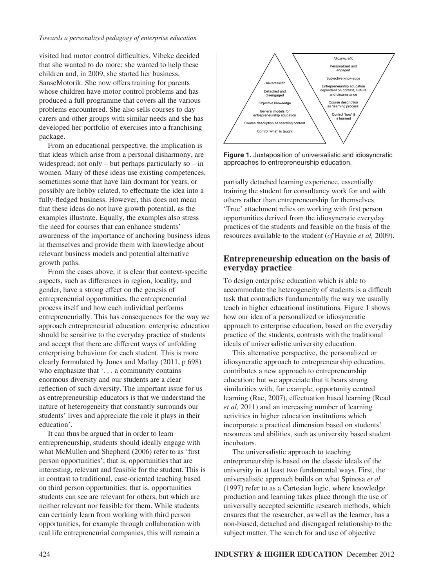#### *Towards a personalized pedagogy of enterprise education*

visited had motor control difficulties. Vibeke decided that she wanted to do more: she wanted to help these children and, in 2009, she started her business, SanseMotorik. She now offers training for parents whose children have motor control problems and has produced a full programme that covers all the various problems encountered. She also sells courses to day carers and other groups with similar needs and she has developed her portfolio of exercises into a franchising package.

From an educational perspective, the implication is that ideas which arise from a personal disharmony, are widespread; not only  $-$  but perhaps particularly so  $-$  in women. Many of these ideas use existing competences, sometimes some that have lain dormant for years, or possibly are hobby related, to effectuate the idea into a fully-fledged business. However, this does not mean that these ideas do not have growth potential, as the examples illustrate. Equally, the examples also stress the need for courses that can enhance students' awareness of the importance of anchoring business ideas in themselves and provide them with knowledge about relevant business models and potential alternative growth paths.

From the cases above, it is clear that context-specific aspects, such as differences in region, locality, and gender, have a strong effect on the genesis of entrepreneurial opportunities, the entrepreneurial process itself and how each individual performs entrepreneurially. This has consequences for the way we approach entrepreneurial education: enterprise education should be sensitive to the everyday practice of students and accept that there are different ways of unfolding enterprising behaviour for each student. This is more clearly formulated by Jones and Matlay (2011, p 698) who emphasize that '. . . a community contains enormous diversity and our students are a clear reflection of such diversity. The important issue for us as entrepreneurship educators is that we understand the nature of heterogeneity that constantly surrounds our students' lives and appreciate the role it plays in their education'.

It can thus be argued that in order to learn entrepreneurship, students should ideally engage with what McMullen and Shepherd (2006) refer to as 'first person opportunities'; that is, opportunities that are interesting, relevant and feasible for the student. This is in contrast to traditional, case-oriented teaching based on third person opportunities; that is, opportunities students can see are relevant for others, but which are neither relevant nor feasible for them. While students can certainly learn from working with third person opportunities, for example through collaboration with real life entrepreneurial companies, this will remain a



**Figure 1.** Juxtaposition of universalistic and idiosyncratic approaches to entrepreneurship education.

partially detached learning experience, essentially training the student for consultancy work for and with others rather than entrepreneurship for themselves. 'True' attachment relies on working with first person opportunities derived from the idiosyncratic everyday practices of the students and feasible on the basis of the resources available to the student (*cf* Haynie *et al,* 2009).

# **Entrepreneurship education on the basis of everyday practice**

To design enterprise education which is able to accommodate the heterogeneity of students is a difficult task that contradicts fundamentally the way we usually teach in higher educational institutions. Figure 1 shows how our idea of a personalized or idiosyncratic approach to enterprise education, based on the everyday practice of the students, contrasts with the traditional ideals of universalistic university education.

This alternative perspective, the personalized or idiosyncratic approach to entrepreneurship education, contributes a new approach to entrepreneurship education; but we appreciate that it bears strong similarities with, for example, opportunity centred learning (Rae, 2007), effectuation based learning (Read *et al,* 2011) and an increasing number of learning activities in higher education institutions which incorporate a practical dimension based on students' resources and abilities, such as university based student incubators.

The universalistic approach to teaching entrepreneurship is based on the classic ideals of the university in at least two fundamental ways. First, the universalistic approach builds on what Spinosa *et al* (1997) refer to as a Cartesian logic, where knowledge production and learning takes place through the use of universally accepted scientific research methods, which ensures that the researcher, as well as the learner, has a non-biased, detached and disengaged relationship to the subject matter. The search for and use of objective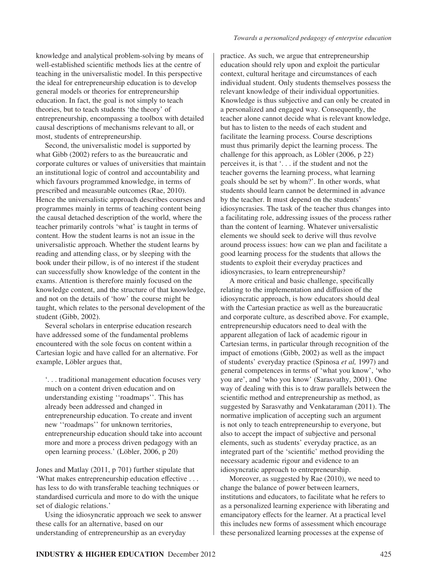knowledge and analytical problem-solving by means of well-established scientific methods lies at the centre of teaching in the universalistic model. In this perspective the ideal for entrepreneurship education is to develop general models or theories for entrepreneurship education. In fact, the goal is not simply to teach theories, but to teach students 'the theory' of entrepreneurship, encompassing a toolbox with detailed causal descriptions of mechanisms relevant to all, or most, students of entrepreneurship.

Second, the universalistic model is supported by what Gibb (2002) refers to as the bureaucratic and corporate cultures or values of universities that maintain an institutional logic of control and accountability and which favours programmed knowledge, in terms of prescribed and measurable outcomes (Rae, 2010). Hence the universalistic approach describes courses and programmes mainly in terms of teaching content being the causal detached description of the world, where the teacher primarily controls 'what' is taught in terms of content. How the student learns is not an issue in the universalistic approach. Whether the student learns by reading and attending class, or by sleeping with the book under their pillow, is of no interest if the student can successfully show knowledge of the content in the exams. Attention is therefore mainly focused on the knowledge content, and the structure of that knowledge, and not on the details of 'how' the course might be taught, which relates to the personal development of the student (Gibb, 2002).

Several scholars in enterprise education research have addressed some of the fundamental problems encountered with the sole focus on content within a Cartesian logic and have called for an alternative. For example, Löbler argues that,

'. . . traditional management education focuses very much on a content driven education and on understanding existing ''roadmaps''. This has already been addressed and changed in entrepreneurship education. To create and invent new ''roadmaps'' for unknown territories, entrepreneurship education should take into account more and more a process driven pedagogy with an open learning process.' (Löbler, 2006, p 20)

Jones and Matlay (2011, p 701) further stipulate that 'What makes entrepreneurship education effective . . . has less to do with transferable teaching techniques or standardised curricula and more to do with the unique set of dialogic relations.'

Using the idiosyncratic approach we seek to answer these calls for an alternative, based on our understanding of entrepreneurship as an everyday

practice. As such, we argue that entrepreneurship education should rely upon and exploit the particular context, cultural heritage and circumstances of each individual student. Only students themselves possess the relevant knowledge of their individual opportunities. Knowledge is thus subjective and can only be created in a personalized and engaged way. Consequently, the teacher alone cannot decide what is relevant knowledge, but has to listen to the needs of each student and facilitate the learning process. Course descriptions must thus primarily depict the learning process. The challenge for this approach, as Löbler (2006, p 22) perceives it, is that '. . . if the student and not the teacher governs the learning process, what learning goals should be set by whom?'. In other words, what students should learn cannot be determined in advance by the teacher. It must depend on the students' idiosyncrasies. The task of the teacher thus changes into a facilitating role, addressing issues of the process rather than the content of learning. Whatever universalistic elements we should seek to derive will thus revolve around process issues: how can we plan and facilitate a good learning process for the students that allows the students to exploit their everyday practices and idiosyncrasies, to learn entrepreneurship?

A more critical and basic challenge, specifically relating to the implementation and diffusion of the idiosyncratic approach, is how educators should deal with the Cartesian practice as well as the bureaucratic and corporate culture, as described above. For example, entrepreneurship educators need to deal with the apparent allegation of lack of academic rigour in Cartesian terms, in particular through recognition of the impact of emotions (Gibb, 2002) as well as the impact of students' everyday practice (Spinosa *et al,* 1997) and general competences in terms of 'what you know', 'who you are', and 'who you know' (Sarasvathy, 2001). One way of dealing with this is to draw parallels between the scientific method and entrepreneurship as method, as suggested by Sarasvathy and Venkataraman (2011). The normative implication of accepting such an argument is not only to teach entrepreneurship to everyone, but also to accept the impact of subjective and personal elements, such as students' everyday practice, as an integrated part of the 'scientific' method providing the necessary academic rigour and evidence to an idiosyncratic approach to entrepreneurship.

Moreover, as suggested by Rae (2010), we need to change the balance of power between learners, institutions and educators, to facilitate what he refers to as a personalized learning experience with liberating and emancipatory effects for the learner. At a practical level this includes new forms of assessment which encourage these personalized learning processes at the expense of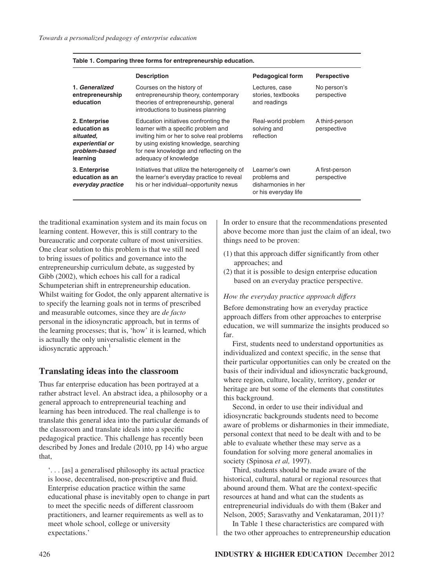|                                                                                            | <b>Description</b>                                                                                                                                                                                                                       | <b>Pedagogical form</b>                                                      | <b>Perspective</b>            |  |
|--------------------------------------------------------------------------------------------|------------------------------------------------------------------------------------------------------------------------------------------------------------------------------------------------------------------------------------------|------------------------------------------------------------------------------|-------------------------------|--|
| 1. Generalized<br>entrepreneurship<br>education                                            | Courses on the history of<br>entrepreneurship theory, contemporary<br>theories of entrepreneurship, general<br>introductions to business planning                                                                                        | Lectures, case<br>stories, textbooks<br>and readings                         | No person's<br>perspective    |  |
| 2. Enterprise<br>education as<br>situated.<br>experiential or<br>problem-based<br>learning | Education initiatives confronting the<br>learner with a specific problem and<br>inviting him or her to solve real problems<br>by using existing knowledge, searching<br>for new knowledge and reflecting on the<br>adequacy of knowledge | Real-world problem<br>solving and<br>reflection                              | A third-person<br>perspective |  |
| 3. Enterprise<br>education as an<br>everyday practice                                      | Initiatives that utilize the heterogeneity of<br>the learner's everyday practice to reveal<br>his or her individual-opportunity nexus                                                                                                    | Learner's own<br>problems and<br>disharmonies in her<br>or his everyday life | A first-person<br>perspective |  |

|  |  |  | Table 1. Comparing three forms for entrepreneurship education. |  |
|--|--|--|----------------------------------------------------------------|--|
|--|--|--|----------------------------------------------------------------|--|

the traditional examination system and its main focus on learning content. However, this is still contrary to the bureaucratic and corporate culture of most universities. One clear solution to this problem is that we still need to bring issues of politics and governance into the entrepreneurship curriculum debate, as suggested by Gibb (2002), which echoes his call for a radical Schumpeterian shift in entrepreneurship education. Whilst waiting for Godot, the only apparent alternative is to specify the learning goals not in terms of prescribed and measurable outcomes, since they are *de facto* personal in the idiosyncratic approach, but in terms of the learning processes; that is, 'how' it is learned, which is actually the only universalistic element in the idiosyncratic approach. $<sup>1</sup>$ </sup>

# **Translating ideas into the classroom**

Thus far enterprise education has been portrayed at a rather abstract level. An abstract idea, a philosophy or a general approach to entrepreneurial teaching and learning has been introduced. The real challenge is to translate this general idea into the particular demands of the classroom and translate ideals into a specific pedagogical practice. This challenge has recently been described by Jones and Iredale (2010, pp 14) who argue that,

'. . . [as] a generalised philosophy its actual practice is loose, decentralised, non-prescriptive and fluid. Enterprise education practice within the same educational phase is inevitably open to change in part to meet the specific needs of different classroom practitioners, and learner requirements as well as to meet whole school, college or university expectations.'

In order to ensure that the recommendations presented above become more than just the claim of an ideal, two things need to be proven:

- (1) that this approach differ significantly from other approaches; and
- (2) that it is possible to design enterprise education based on an everyday practice perspective.

## *How the everyday practice approach differs*

Before demonstrating how an everyday practice approach differs from other approaches to enterprise education, we will summarize the insights produced so far.

First, students need to understand opportunities as individualized and context specific, in the sense that their particular opportunities can only be created on the basis of their individual and idiosyncratic background, where region, culture, locality, territory, gender or heritage are but some of the elements that constitutes this background.

Second, in order to use their individual and idiosyncratic backgrounds students need to become aware of problems or disharmonies in their immediate, personal context that need to be dealt with and to be able to evaluate whether these may serve as a foundation for solving more general anomalies in society (Spinosa *et al,* 1997).

Third, students should be made aware of the historical, cultural, natural or regional resources that abound around them. What are the context-specific resources at hand and what can the students as entrepreneurial individuals do with them (Baker and Nelson, 2005; Sarasvathy and Venkataraman, 2011)?

In Table 1 these characteristics are compared with the two other approaches to entrepreneurship education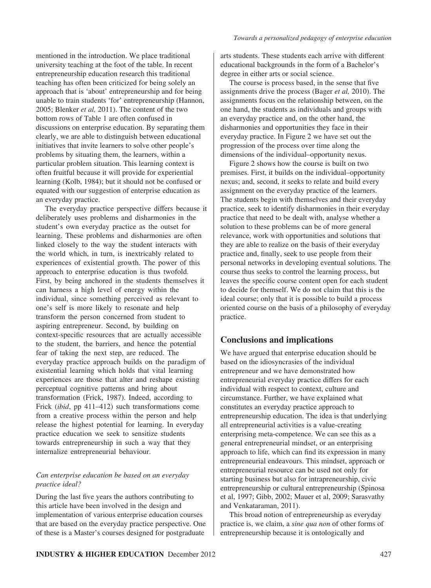mentioned in the introduction. We place traditional university teaching at the foot of the table. In recent entrepreneurship education research this traditional teaching has often been criticized for being solely an approach that is 'about' entrepreneurship and for being unable to train students 'for' entrepreneurship (Hannon, 2005; Blenker *et al,* 2011). The content of the two bottom rows of Table 1 are often confused in discussions on enterprise education. By separating them clearly, we are able to distinguish between educational initiatives that invite learners to solve other people's problems by situating them, the learners, within a particular problem situation. This learning context is often fruitful because it will provide for experiential learning (Kolb, 1984); but it should not be confused or equated with our suggestion of enterprise education as an everyday practice.

The everyday practice perspective differs because it deliberately uses problems and disharmonies in the student's own everyday practice as the outset for learning. These problems and disharmonies are often linked closely to the way the student interacts with the world which, in turn, is inextricably related to experiences of existential growth. The power of this approach to enterprise education is thus twofold. First, by being anchored in the students themselves it can harness a high level of energy within the individual, since something perceived as relevant to one's self is more likely to resonate and help transform the person concerned from student to aspiring entrepreneur. Second, by building on context-specific resources that are actually accessible to the student, the barriers, and hence the potential fear of taking the next step, are reduced. The everyday practice approach builds on the paradigm of existential learning which holds that vital learning experiences are those that alter and reshape existing perceptual cognitive patterns and bring about transformation (Frick, 1987). Indeed, according to Frick (*ibid*, pp 411–412) such transformations come from a creative process within the person and help release the highest potential for learning. In everyday practice education we seek to sensitize students towards entrepreneurship in such a way that they internalize entrepreneurial behaviour.

## *Can enterprise education be based on an everyday practice ideal?*

During the last five years the authors contributing to this article have been involved in the design and implementation of various enterprise education courses that are based on the everyday practice perspective. One of these is a Master's courses designed for postgraduate

arts students. These students each arrive with different educational backgrounds in the form of a Bachelor's degree in either arts or social science.

The course is process based, in the sense that five assignments drive the process (Bager *et al,* 2010). The assignments focus on the relationship between, on the one hand, the students as individuals and groups with an everyday practice and, on the other hand, the disharmonies and opportunities they face in their everyday practice. In Figure 2 we have set out the progression of the process over time along the dimensions of the individual–opportunity nexus.

Figure 2 shows how the course is built on two premises. First, it builds on the individual–opportunity nexus; and, second, it seeks to relate and build every assignment on the everyday practice of the learners. The students begin with themselves and their everyday practice, seek to identify disharmonies in their everyday practice that need to be dealt with, analyse whether a solution to these problems can be of more general relevance, work with opportunities and solutions that they are able to realize on the basis of their everyday practice and, finally, seek to use people from their personal networks in developing eventual solutions. The course thus seeks to control the learning process, but leaves the specific course content open for each student to decide for themself. We do not claim that this is the ideal course; only that it is possible to build a process oriented course on the basis of a philosophy of everyday practice.

# **Conclusions and implications**

We have argued that enterprise education should be based on the idiosyncrasies of the individual entrepreneur and we have demonstrated how entrepreneurial everyday practice differs for each individual with respect to context, culture and circumstance. Further, we have explained what constitutes an everyday practice approach to entrepreneurship education. The idea is that underlying all entrepreneurial activities is a value-creating enterprising meta-competence. We can see this as a general entrepreneurial mindset, or an enterprising approach to life, which can find its expression in many entrepreneurial endeavours. This mindset, approach or entrepreneurial resource can be used not only for starting business but also for intrapreneurship, civic entrepreneurship or cultural entrepreneurship (Spinosa et al, 1997; Gibb, 2002; Mauer et al, 2009; Sarasvathy and Venkataraman, 2011).

This broad notion of entrepreneurship as everyday practice is, we claim, a *sine qua non* of other forms of entrepreneurship because it is ontologically and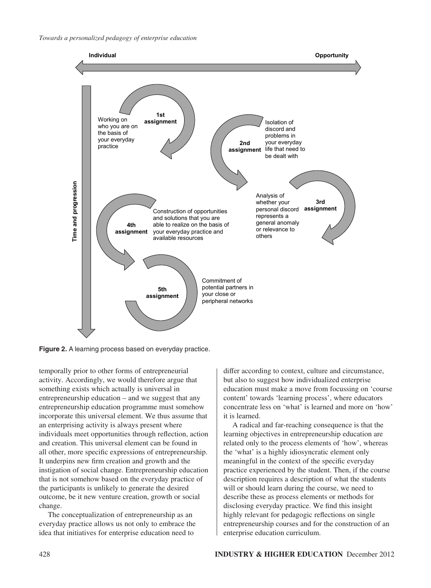

**Figure 2.** A learning process based on everyday practice.

temporally prior to other forms of entrepreneurial activity. Accordingly, we would therefore argue that something exists which actually is universal in entrepreneurship education – and we suggest that any entrepreneurship education programme must somehow incorporate this universal element. We thus assume that an enterprising activity is always present where individuals meet opportunities through reflection, action and creation. This universal element can be found in all other, more specific expressions of entrepreneurship. It underpins new firm creation and growth and the instigation of social change. Entrepreneurship education that is not somehow based on the everyday practice of the participants is unlikely to generate the desired outcome, be it new venture creation, growth or social change.

The conceptualization of entrepreneurship as an everyday practice allows us not only to embrace the idea that initiatives for enterprise education need to

differ according to context, culture and circumstance, but also to suggest how individualized enterprise education must make a move from focussing on 'course content' towards 'learning process', where educators concentrate less on 'what' is learned and more on 'how' it is learned.

A radical and far-reaching consequence is that the learning objectives in entrepreneurship education are related only to the process elements of 'how', whereas the 'what' is a highly idiosyncratic element only meaningful in the context of the specific everyday practice experienced by the student. Then, if the course description requires a description of what the students will or should learn during the course, we need to describe these as process elements or methods for disclosing everyday practice. We find this insight highly relevant for pedagogic reflections on single entrepreneurship courses and for the construction of an enterprise education curriculum.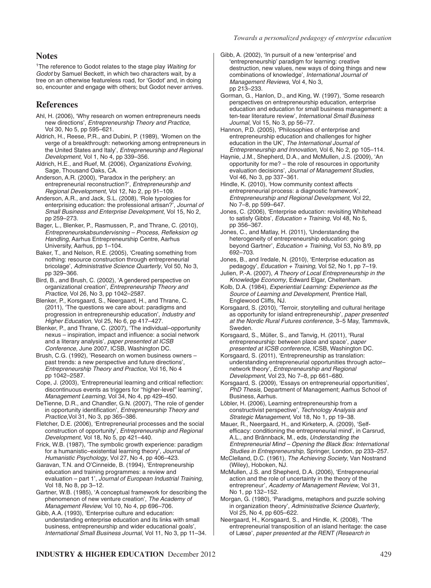## **Notes**

1 The reference to Godot relates to the stage play *Waiting for Godot* by Samuel Beckett, in which two characters wait, by a tree on an otherwise featureless road, for 'Godot' and, in doing so, encounter and engage with others; but Godot never arrives.

# **References**

Ahl, H. (2006), 'Why research on women entrepreneurs needs new directions', *Entrepreneurship Theory and Practice*, Vol 30, No 5, pp 595–621.

Aldrich, H., Reese, P.R., and Dubini, P. (1989), 'Women on the verge of a breakthrough: networking among entrepreneurs in the United States and Italy', *Entrepreneurship and Regional Development*, Vol 1, No 4, pp 339–356.

Aldrich, H.E., and Ruef, M. (2006), *Organizations Evolving*, Sage, Thousand Oaks, CA.

Anderson, A.R. (2000), 'Paradox in the periphery: an entrepreneurial reconstruction?', *Entrepreneurship and Regional Development*, Vol 12, No 2, pp 91–109.

Anderson, A.R., and Jack, S.L. (2008), 'Role typologies for enterprising education: the professional artisan?', *Journal of Small Business and Enterprise Development*, Vol 15, No 2, pp 259–273.

Bager, L., Blenker, P., Rasmussen, P., and Thrane, C. (2010), *Entrepreneurskabsundervisning – Process, Refleksion og Handling*, Aarhus Entrepreneurship Centre, Aarhus University, Aarhus, pp 1–104.

Baker, T., and Nelson, R.E. (2005), 'Creating something from nothing: resource construction through entrepreneurial bricolage', *Administrative Science Quarterly*, Vol 50, No 3, pp 329–366.

Bird, B., and Brush, C. (2002), 'A gendered perspective on organizational creation', *Entrepreneurship Theory and Practice*, Vol 26, No 3, pp 1042–2587.

Blenker, P., Korsgaard, S., Neergaard, H., and Thrane, C. (2011), 'The questions we care about: paradigms and progression in entrepreneurship education', *Industry and Higher Education*, Vol 25, No 6, pp 417–427.

Blenker, P., and Thrane, C. (2007), 'The individual–opportunity nexus – inspiration, impact and influence: a social network and a literary analysis', *paper presented at ICSB Conference*, June 2007, ICSB, Washington DC.

Brush, C.G. (1992), 'Research on women business owners – past trends: a new perspective and future directions', *Entrepreneurship Theory and Practice*, Vol 16, No 4 pp 1042–2587.

Cope, J. (2003), 'Entrepreneurial learning and critical reflection: discontinuous events as triggers for ''higher-level'' learning', *Management Learning*, Vol 34, No 4, pp 429–450.

DeTienne, D.R., and Chandler, G.N. (2007), 'The role of gender in opportunity identification', *Entrepreneurship Theory and Practice*,Vol 31, No 3, pp 365–386.

Fletcher, D.E. (2006), 'Entrepreneurial processes and the social construction of opportunity', *Entrepreneurship and Regional Development*, Vol 18, No 5, pp 421–440.

Frick, W.B. (1987), 'The symbolic growth experience: paradigm for a humanistic–existential learning theory', *Journal of Humanistic Psychology*, Vol 27, No 4, pp 406–423.

Garavan, T.N. and O'Cinneide, B. (1994), 'Entrepreneurship education and training programmes: a review and evaluation – part 1', *Journal of European Industrial Training*, Vol 18, No 8, pp 3–12.

Gartner, W.B. (1985), 'A conceptual framework for describing the phenomenon of new venture creation', *The Academy of Management Review,* Vol 10, No 4, pp 696–706.

Gibb, A.A. (1993), 'Enterprise culture and education: understanding enterprise education and its links with small business, entrepreneurship and wider educational goals', *International Small Business Journal*, Vol 11, No 3, pp 11–34. Gibb, A. (2002), 'In pursuit of a new 'enterprise' and 'entrepreneurship' paradigm for learning: creative destruction, new values, new ways of doing things and new combinations of knowledge', *International Journal of Management Reviews*, Vol 4, No 3, pp 213–233.

Gorman, G., Hanlon, D., and King, W. (1997), 'Some research perspectives on entrepreneurship education, enterprise education and education for small business management: a ten-tear literature review', *International Small Business Journal*, Vol 15, No 3, pp 56–77.

Hannon, P.D. (2005), 'Philosophies of enterprise and entrepreneurship education and challenges for higher education in the UK', *The International Journal of Entrepreneurship and Innovation*, Vol 6, No 2, pp 105–114.

Haynie, J.M., Shepherd, D.A., and McMullen, J.S. (2009), 'An opportunity for me? – the role of resources in opportunity evaluation decisions', *Journal of Management Studies*, Vol 46, No 3, pp 337–361.

Hindle, K. (2010), 'How community context affects entrepreneurial process: a diagnostic framework', *Entrepreneurship and Regional Development*, Vol 22, No 7–8, pp 599–647.

Jones, C. (2006), 'Enterprise education: revisiting Whitehead to satisfy Gibbs', *Education + Training*, Vol 48, No 5, pp 356–367.

Jones, C., and Matlay, H. (2011), 'Understanding the heterogeneity of entrepreneurship education: going beyond Gartner', *Education + Training*, Vol 53, No 8/9, pp 692–703.

Jones, B., and Iredale, N. (2010), 'Enterprise education as pedagogy', *Education + Training*, Vol 52, No 1, pp 7–19.

Julien, P.-A. (2007), *A Theory of Local Entrepreneurship in the Knowledge Economy,* Edward Elgar, Cheltenham.

Kolb, D.A. (1984), *Experiential Learning: Experience as the Source of Learning and Development,* Prentice Hall, Englewood Cliffs, NJ.

Korsgaard, S. (2010), 'Terroir, storytelling and cultural heritage as opportunity for island entrepreneurship', *paper presented at the Nordic Rural Futures conference*, 3–5 May, Tammsvik, Sweden.

Korsgaard, S., Müller, S., and Tanvig, H. (2011), 'Rural entrepreneurship: between place and space', *paper presented at ICSB conference*, ICSB, Washington DC.

Korsgaard, S. (2011), 'Entrepreneurship as translation: understanding entrepreneurial opportunities through actor– network theory', *Entrepreneurship and Regional Development*, Vol 23, No 7–8, pp 661–680.

Korsgaard, S. (2009), 'Essays on entrepreneurial opportunities', *PhD Thesis*, Department of Management; Aarhus School of Business, Aarhus.

Löbler, H. (2006), Learning entrepreneurship from a constructivist perspective', *Technology Analysis and Strategic Management,* Vol 18, No 1, pp 19–38.

Mauer, R., Neergaard, H., and Kirketerp, A. (2009), 'Selfefficacy: conditioning the entrepreneurial mind', in Carsrud, A.L., and Brännback, M., eds, *Understanding the Entrepreneurial Mind – Opening the Black Box: International Studies in Entrepreneurship,* Springer, London, pp 233–257.

McClelland, D.C. (1961), *The Achieving Society*, Van Nostrand (Wiley), Hoboken, NJ.

McMullen, J.S. and Shepherd, D.A. (2006), 'Entrepreneurial action and the role of uncertainty in the theory of the entrepreneur', *Academy of Management Review*, Vol 31, No 1, pp 132–152.

Morgan, G. (1980), 'Paradigms, metaphors and puzzle solving in organization theory', *Administrative Science Quarterly*, Vol 25, No 4, pp 605–622.

Neergaard, H., Korsgaard, S., and Hindle, K. (2008), 'The entrepreneurial transposition of an island heritage: the case of Læsø', *paper presented at the RENT (Research in*